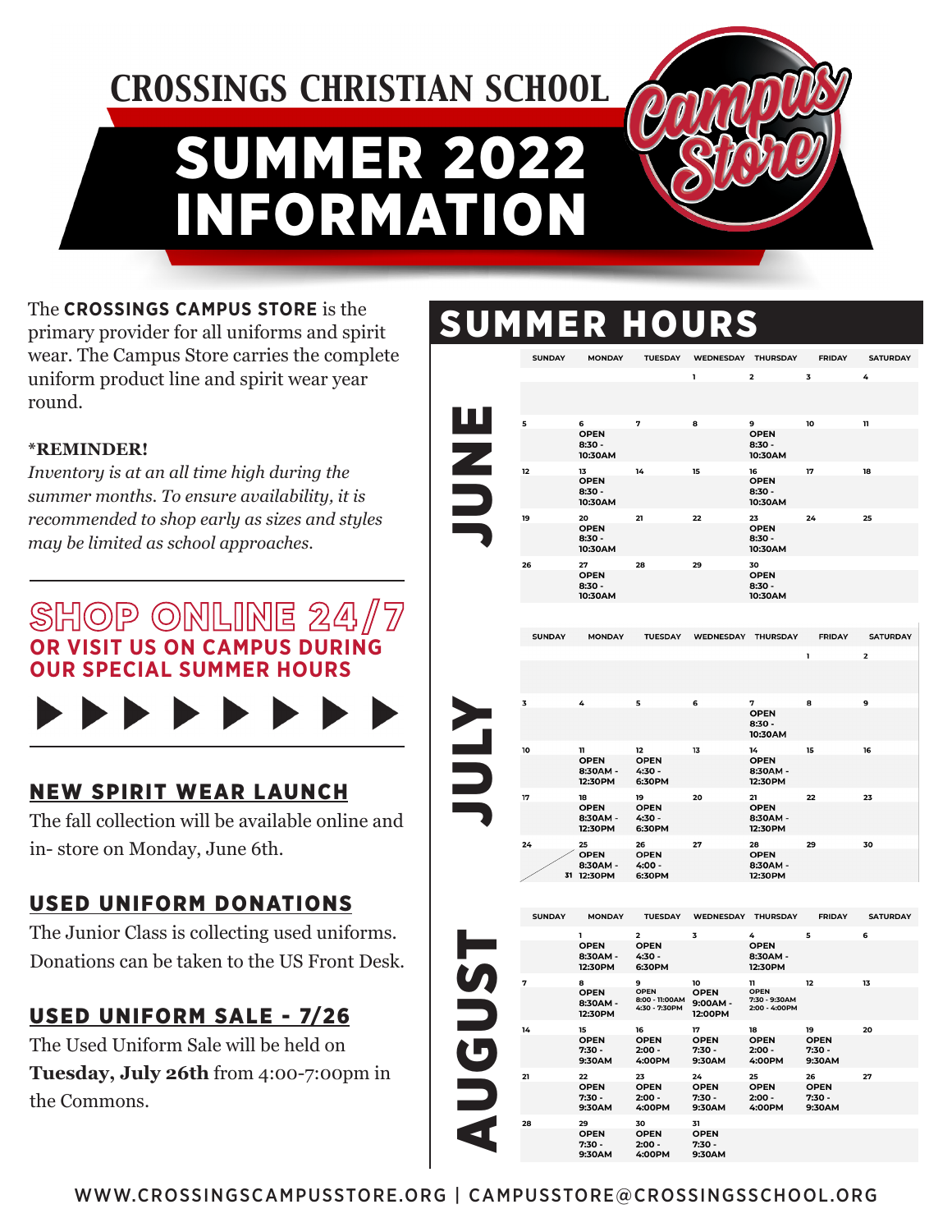# SUMMER 2 INFORMATION *CROSSINGS CHRISTIAN SCHOOL*



The **CROSSINGS CAMPUS STORE** is the primary provider for all uniforms and spirit wear. The Campus Store carries the complete uniform product line and spirit wear year round.

#### **\*REMINDER!**

*Inventory is at an all time high during the summer months. To ensure availability, it is recommended to shop early as sizes and styles may be limited as school approaches.*

### **SHOP ONLINE 24/7 OR VISIT US ON CAMPUS DURING R SPECIAL SUMMER HOURS**



### NEW SPIRIT WEAR LAUNCH

The fall collection will be available online and in- store on Monday, June 6th.

### USED UNIFORM DONATIONS

The Junior Class is collecting used uniforms. Donations can be taken to the US Front Desk.

### USED UNIFORM SALE - 7/26

The Used Uniform Sale will be held on **Tuesday, July 26th** from 4:00-7:00pm in the Commons.

### **SUMMER HOURS**

|             | <b>SUNDAY</b> | <b>MONDAY</b>                           | <b>TUESDAY</b>                                             | WEDNESDAY THURSDAY                    |                                               | <b>FRIDAY</b>                           | <b>SATURDAY</b> |
|-------------|---------------|-----------------------------------------|------------------------------------------------------------|---------------------------------------|-----------------------------------------------|-----------------------------------------|-----------------|
|             |               |                                         |                                                            | ı                                     | 2                                             | 3                                       | 4               |
|             |               |                                         |                                                            |                                       |                                               |                                         |                 |
|             | 5             | 6                                       | 7                                                          | 8                                     | 9                                             | 10                                      | 11              |
|             |               | <b>OPEN</b><br>$8:30 -$<br>10:30AM      |                                                            |                                       | <b>OPEN</b><br>$8:30 -$<br>10:30AM            |                                         |                 |
|             | 12            | 13                                      | 14                                                         | 15                                    | 16                                            | 17                                      | 18              |
|             |               | <b>OPEN</b><br>$8:30 -$<br>10:30AM      |                                                            |                                       | <b>OPEN</b><br>$8:30 -$<br>10:30AM            |                                         |                 |
|             | 19            | 20                                      | 21                                                         | 22                                    | 23                                            | 24                                      | 25              |
|             |               | <b>OPEN</b><br>$8:30 -$<br>10:30AM      |                                                            |                                       | <b>OPEN</b><br>$8:30 -$<br>10:30AM            |                                         |                 |
|             | 26            | 27                                      | 28                                                         | 29                                    | 30                                            |                                         |                 |
|             |               | <b>OPEN</b><br>$8:30 -$<br>10:30AM      |                                                            |                                       | <b>OPEN</b><br>$8:30 -$<br>10:30AM            |                                         |                 |
|             |               |                                         |                                                            |                                       |                                               |                                         |                 |
|             | <b>SUNDAY</b> | <b>MONDAY</b>                           | <b>TUESDAY</b>                                             | WEDNESDAY                             | THURSDAY                                      | <b>FRIDAY</b>                           | <b>SATURDAY</b> |
|             |               |                                         |                                                            |                                       |                                               | ı                                       | 2               |
|             | 3             | 4                                       | 5                                                          | 6                                     | 7                                             | 8                                       | 9               |
|             |               |                                         |                                                            |                                       | <b>OPEN</b><br>8:30 -<br>10:30AM              |                                         |                 |
|             | 10            | 11                                      | 12                                                         | 13                                    | 14                                            | 15                                      | 16              |
|             |               | <b>OPEN</b><br>8:30AM -<br>12:30PM      | <b>OPEN</b><br>4:30 -<br>6:30PM                            |                                       | <b>OPEN</b><br>8:30AM -<br>12:30PM            |                                         |                 |
|             | 17            | 18                                      | 19                                                         | 20                                    | 21                                            | 22                                      | 23              |
|             |               | <b>OPEN</b><br>8:30AM -<br>12:30PM      | <b>OPEN</b><br>4:30 -<br>6:30PM                            |                                       | <b>OPEN</b><br>8:30AM -<br>12:30PM            |                                         |                 |
|             | 24            | 25                                      | 26                                                         | 27                                    | 28                                            | 29                                      | 30              |
|             |               | <b>OPEN</b><br>8:30AM -<br>31 12:30PM   | <b>OPEN</b><br>4:00 -<br>6:30PM                            |                                       | <b>OPEN</b><br>8:30AM -<br>12:30PM            |                                         |                 |
|             |               |                                         |                                                            |                                       |                                               |                                         |                 |
|             | <b>SUNDAY</b> | <b>MONDAY</b>                           | <b>TUESDAY</b>                                             | WEDNESDAY                             | <b>THURSDAY</b>                               | <b>FRIDAY</b>                           | <b>SATURDAY</b> |
| <b>UGUS</b> |               | ı<br>OPEN<br>8:30AM -<br>12:30PM        | $\overline{\mathbf{2}}$<br><b>OPEN</b><br>4:30 -<br>6:30PM | 3                                     | 4<br><b>OPEN</b><br>8:30AM -<br>12:30PM       | 5                                       | 6               |
|             | 7             | 8                                       | 9                                                          | 10                                    | 11                                            | 12                                      | 13              |
|             |               | <b>OPEN</b><br>8:30AM -<br>12:30PM      | <b>OPEN</b><br>8:00 - 11:00AM<br>4:30 - 7:30PM             | <b>OPEN</b><br>9:00AM -<br>12:00PM    | <b>OPEN</b><br>7:30 - 9:30AM<br>2:00 - 4:00PM |                                         |                 |
|             | 14            | 15<br><b>OPEN</b><br>$7:30 -$<br>9:30AM | 16<br><b>OPEN</b><br>$2:00 -$<br>4:00PM                    | 17<br><b>OPEN</b><br>7:30 -<br>9:30AM | 18<br><b>OPEN</b><br>$2:00 -$<br>4:00PM       | 19<br><b>OPEN</b><br>$7:30 -$<br>9:30AM | 20              |
|             | 21            | 22                                      | 23                                                         | 24                                    | 25                                            | 26                                      | 27              |
|             |               | <b>OPEN</b><br>$7:30 -$<br>9:30AM       | <b>OPEN</b><br>$2:00 -$<br>4:00PM                          | <b>OPEN</b><br>7:30 -<br>9:30AM       | <b>OPEN</b><br>$2:00 -$<br>4:00PM             | <b>OPEN</b><br>7:30 -<br>9:30AM         |                 |
|             | 28            | 29<br><b>OPEN</b><br>$7:30 -$           | 30<br><b>OPEN</b><br>$2:00 -$                              | 31<br><b>OPEN</b><br>7:30 -           |                                               |                                         |                 |

9:30AM

4:00PM

9:30AM